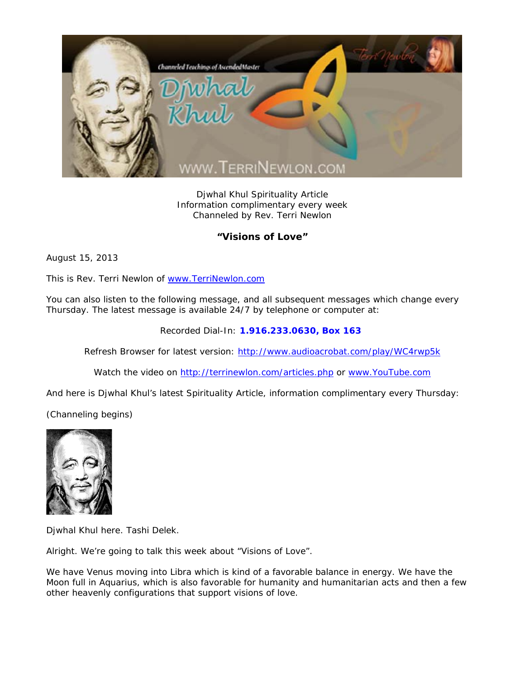

Djwhal Khul Spirituality Article Information complimentary every week Channeled by Rev. Terri Newlon

## **"Visions of Love"**

August 15, 2013

This is Rev. Terri Newlon of www.TerriNewlon.com

You can also listen to the following message, and all subsequent messages which change every Thursday. The latest message is available 24/7 by telephone or computer at:

Recorded Dial-In: **1.916.233.0630, Box 163** 

Refresh Browser for latest version: http://www.audioacrobat.com/play/WC4rwp5k

Watch the video on http://terrinewlon.com/articles.php or www.YouTube.com

And here is Djwhal Khul's latest Spirituality Article, information complimentary every Thursday:

(Channeling begins)



Djwhal Khul here. Tashi Delek.

Alright. We're going to talk this week about "Visions of Love".

We have Venus moving into Libra which is kind of a favorable balance in energy. We have the Moon full in Aquarius, which is also favorable for humanity and humanitarian acts and then a few other heavenly configurations that support visions of love.